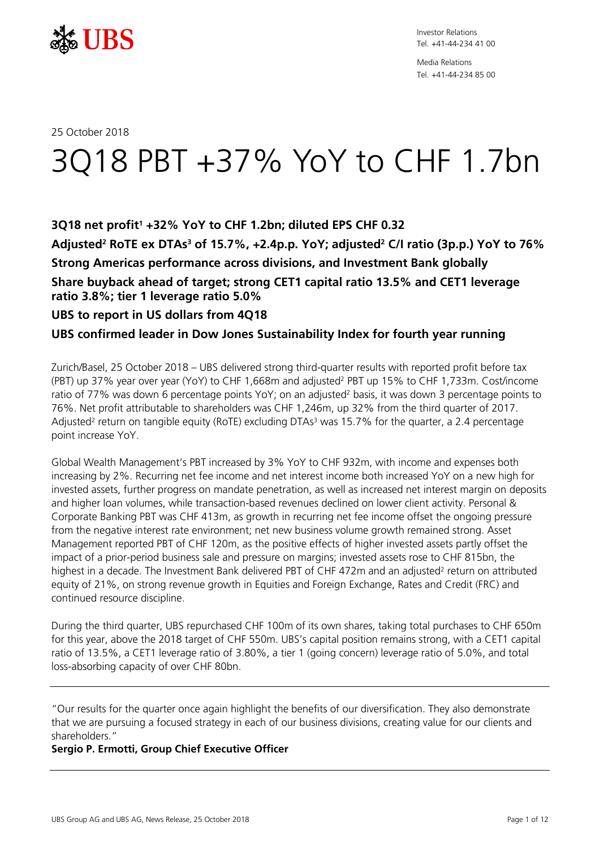

Media Relations Tel. +41-44-234 85 00

## 25 October 2018

# 3Q18 PBT +37% YoY to CHF 1.7bn

# **3Q18 net profit1 +32% YoY to CHF 1.2bn; diluted EPS CHF 0.32**

**Adjusted2 RoTE ex DTAs3 of 15.7%, +2.4p.p. YoY; adjusted2 C/I ratio (3p.p.) YoY to 76% Strong Americas performance across divisions, and Investment Bank globally Share buyback ahead of target; strong CET1 capital ratio 13.5% and CET1 leverage ratio 3.8%; tier 1 leverage ratio 5.0%**

## **UBS to report in US dollars from 4Q18**

# **UBS confirmed leader in Dow Jones Sustainability Index for fourth year running**

Zurich/Basel, 25 October 2018 – UBS delivered strong third-quarter results with reported profit before tax (PBT) up 37% year over year (YoY) to CHF 1,668m and adjusted2 PBT up 15% to CHF 1,733m. Cost/income ratio of 77% was down 6 percentage points YoY; on an adjusted<sup>2</sup> basis, it was down 3 percentage points to 76%. Net profit attributable to shareholders was CHF 1,246m, up 32% from the third quarter of 2017. Adjusted<sup>2</sup> return on tangible equity (RoTE) excluding DTAs<sup>3</sup> was 15.7% for the quarter, a 2.4 percentage point increase YoY.

Global Wealth Management's PBT increased by 3% YoY to CHF 932m, with income and expenses both increasing by 2%. Recurring net fee income and net interest income both increased YoY on a new high for invested assets, further progress on mandate penetration, as well as increased net interest margin on deposits and higher loan volumes, while transaction-based revenues declined on lower client activity. Personal & Corporate Banking PBT was CHF 413m, as growth in recurring net fee income offset the ongoing pressure from the negative interest rate environment; net new business volume growth remained strong. Asset Management reported PBT of CHF 120m, as the positive effects of higher invested assets partly offset the impact of a prior-period business sale and pressure on margins; invested assets rose to CHF 815bn, the highest in a decade. The Investment Bank delivered PBT of CHF 472m and an adjusted<sup>2</sup> return on attributed equity of 21%, on strong revenue growth in Equities and Foreign Exchange, Rates and Credit (FRC) and continued resource discipline.

During the third quarter, UBS repurchased CHF 100m of its own shares, taking total purchases to CHF 650m for this year, above the 2018 target of CHF 550m. UBS's capital position remains strong, with a CET1 capital ratio of 13.5%, a CET1 leverage ratio of 3.80%, a tier 1 (going concern) leverage ratio of 5.0%, and total loss-absorbing capacity of over CHF 80bn.

"Our results for the quarter once again highlight the benefits of our diversification. They also demonstrate that we are pursuing a focused strategy in each of our business divisions, creating value for our clients and shareholders."

## **Sergio P. Ermotti, Group Chief Executive Officer**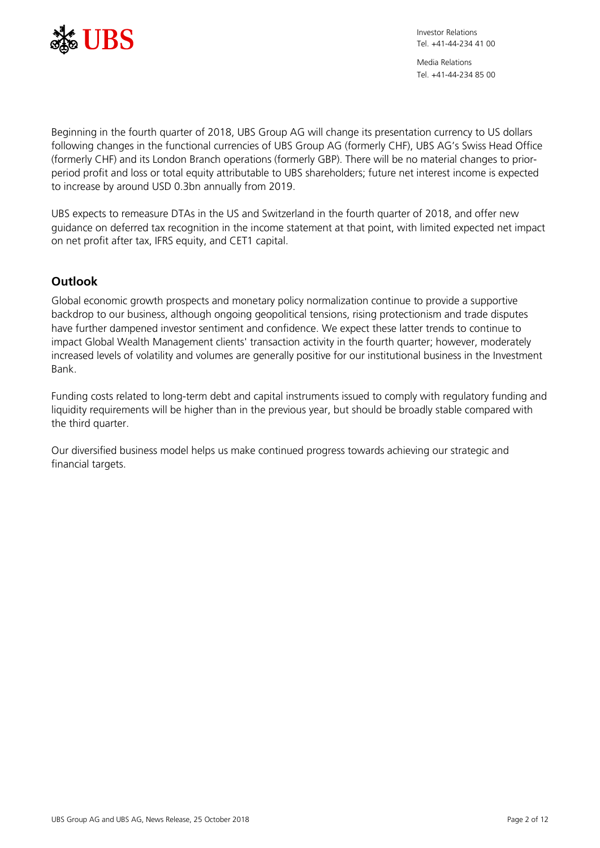

Media Relations Tel. +41-44-234 85 00

Beginning in the fourth quarter of 2018, UBS Group AG will change its presentation currency to US dollars following changes in the functional currencies of UBS Group AG (formerly CHF), UBS AG's Swiss Head Office (formerly CHF) and its London Branch operations (formerly GBP). There will be no material changes to priorperiod profit and loss or total equity attributable to UBS shareholders; future net interest income is expected to increase by around USD 0.3bn annually from 2019.

UBS expects to remeasure DTAs in the US and Switzerland in the fourth quarter of 2018, and offer new guidance on deferred tax recognition in the income statement at that point, with limited expected net impact on net profit after tax, IFRS equity, and CET1 capital.

# **Outlook**

Global economic growth prospects and monetary policy normalization continue to provide a supportive backdrop to our business, although ongoing geopolitical tensions, rising protectionism and trade disputes have further dampened investor sentiment and confidence. We expect these latter trends to continue to impact Global Wealth Management clients' transaction activity in the fourth quarter; however, moderately increased levels of volatility and volumes are generally positive for our institutional business in the Investment Bank.

Funding costs related to long-term debt and capital instruments issued to comply with regulatory funding and liquidity requirements will be higher than in the previous year, but should be broadly stable compared with the third quarter.

Our diversified business model helps us make continued progress towards achieving our strategic and financial targets.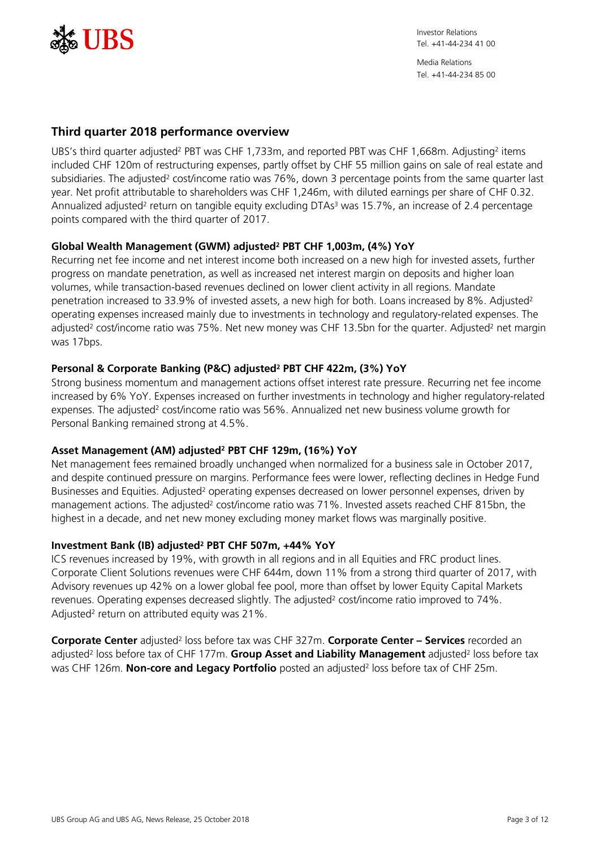

Media Relations Tel. +41-44-234 85 00

## **Third quarter 2018 performance overview**

UBS's third quarter adjusted<sup>2</sup> PBT was CHF 1,733m, and reported PBT was CHF 1,668m. Adjusting<sup>2</sup> items included CHF 120m of restructuring expenses, partly offset by CHF 55 million gains on sale of real estate and subsidiaries. The adjusted<sup>2</sup> cost/income ratio was 76%, down 3 percentage points from the same quarter last year. Net profit attributable to shareholders was CHF 1,246m, with diluted earnings per share of CHF 0.32. Annualized adjusted<sup>2</sup> return on tangible equity excluding DTAs<sup>3</sup> was 15.7%, an increase of 2.4 percentage points compared with the third quarter of 2017.

## **Global Wealth Management (GWM) adjusted2 PBT CHF 1,003m, (4%) YoY**

Recurring net fee income and net interest income both increased on a new high for invested assets, further progress on mandate penetration, as well as increased net interest margin on deposits and higher loan volumes, while transaction-based revenues declined on lower client activity in all regions. Mandate penetration increased to 33.9% of invested assets, a new high for both. Loans increased by 8%. Adjusted<sup>2</sup> operating expenses increased mainly due to investments in technology and regulatory-related expenses. The adjusted<sup>2</sup> cost/income ratio was 75%. Net new money was CHF 13.5bn for the quarter. Adjusted<sup>2</sup> net margin was 17bps.

# **Personal & Corporate Banking (P&C) adjusted2 PBT CHF 422m, (3%) YoY**

Strong business momentum and management actions offset interest rate pressure. Recurring net fee income increased by 6% YoY. Expenses increased on further investments in technology and higher regulatory-related expenses. The adjusted<sup>2</sup> cost/income ratio was 56%. Annualized net new business volume growth for Personal Banking remained strong at 4.5%.

## **Asset Management (AM) adjusted2 PBT CHF 129m, (16%) YoY**

Net management fees remained broadly unchanged when normalized for a business sale in October 2017, and despite continued pressure on margins. Performance fees were lower, reflecting declines in Hedge Fund Businesses and Equities. Adjusted<sup>2</sup> operating expenses decreased on lower personnel expenses, driven by management actions. The adjusted<sup>2</sup> cost/income ratio was 71%. Invested assets reached CHF 815bn, the highest in a decade, and net new money excluding money market flows was marginally positive.

## **Investment Bank (IB) adjusted2 PBT CHF 507m, +44% YoY**

ICS revenues increased by 19%, with growth in all regions and in all Equities and FRC product lines. Corporate Client Solutions revenues were CHF 644m, down 11% from a strong third quarter of 2017, with Advisory revenues up 42% on a lower global fee pool, more than offset by lower Equity Capital Markets revenues. Operating expenses decreased slightly. The adjusted<sup>2</sup> cost/income ratio improved to 74%. Adjusted<sup>2</sup> return on attributed equity was 21%.

**Corporate Center** adjusted2 loss before tax was CHF 327m. **Corporate Center – Services** recorded an adjusted<sup>2</sup> loss before tax of CHF 177m. **Group Asset and Liability Management** adjusted<sup>2</sup> loss before tax was CHF 126m. **Non-core and Legacy Portfolio** posted an adjusted<sup>2</sup> loss before tax of CHF 25m.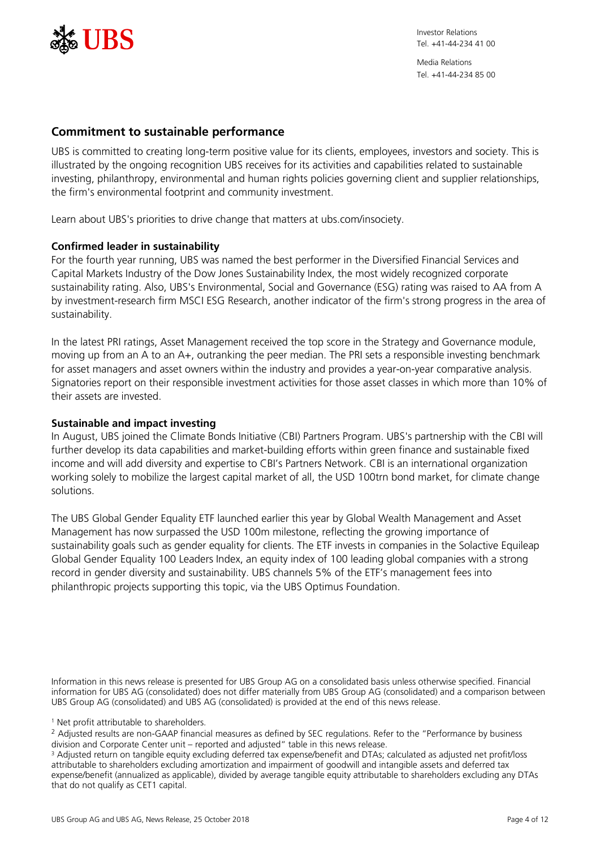

Media Relations Tel. +41-44-234 85 00

## **Commitment to sustainable performance**

UBS is committed to creating long-term positive value for its clients, employees, investors and society. This is illustrated by the ongoing recognition UBS receives for its activities and capabilities related to sustainable investing, philanthropy, environmental and human rights policies governing client and supplier relationships, the firm's environmental footprint and community investment.

Learn about UBS's priorities to drive change that matters at ubs.com/insociety.

## **Confirmed leader in sustainability**

For the fourth year running, UBS was named the best performer in the Diversified Financial Services and Capital Markets Industry of the Dow Jones Sustainability Index, the most widely recognized corporate sustainability rating. Also, UBS's Environmental, Social and Governance (ESG) rating was raised to AA from A by investment-research firm MSCI ESG Research, another indicator of the firm's strong progress in the area of sustainability.

In the latest PRI ratings, Asset Management received the top score in the Strategy and Governance module, moving up from an A to an A+, outranking the peer median. The PRI sets a responsible investing benchmark for asset managers and asset owners within the industry and provides a year-on-year comparative analysis. Signatories report on their responsible investment activities for those asset classes in which more than 10% of their assets are invested.

## **Sustainable and impact investing**

In August, UBS joined the Climate Bonds Initiative (CBI) Partners Program. UBS's partnership with the CBI will further develop its data capabilities and market-building efforts within green finance and sustainable fixed income and will add diversity and expertise to CBI's Partners Network. CBI is an international organization working solely to mobilize the largest capital market of all, the USD 100trn bond market, for climate change solutions.

The UBS Global Gender Equality ETF launched earlier this year by Global Wealth Management and Asset Management has now surpassed the USD 100m milestone, reflecting the growing importance of sustainability goals such as gender equality for clients. The ETF invests in companies in the Solactive Equileap Global Gender Equality 100 Leaders Index, an equity index of 100 leading global companies with a strong record in gender diversity and sustainability. UBS channels 5% of the ETF's management fees into philanthropic projects supporting this topic, via the UBS Optimus Foundation.

Information in this news release is presented for UBS Group AG on a consolidated basis unless otherwise specified. Financial information for UBS AG (consolidated) does not differ materially from UBS Group AG (consolidated) and a comparison between UBS Group AG (consolidated) and UBS AG (consolidated) is provided at the end of this news release.

<sup>1</sup> Net profit attributable to shareholders.

<sup>2</sup> Adjusted results are non-GAAP financial measures as defined by SEC regulations. Refer to the "Performance by business division and Corporate Center unit – reported and adjusted" table in this news release.

<sup>3</sup> Adjusted return on tangible equity excluding deferred tax expense/benefit and DTAs; calculated as adjusted net profit/loss attributable to shareholders excluding amortization and impairment of goodwill and intangible assets and deferred tax expense/benefit (annualized as applicable), divided by average tangible equity attributable to shareholders excluding any DTAs that do not qualify as CET1 capital.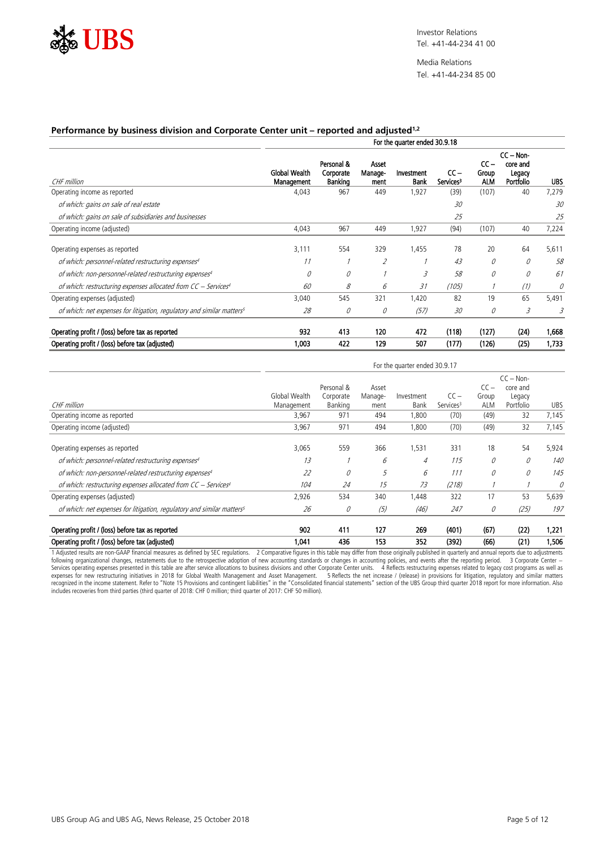

Media Relations Tel. +41-44-234 85 00

#### **Performance by business division and Corporate Center unit – reported and adjusted1,2**

|                                                                                    | For the quarter ended 30.9.18 |                                    |                          |                    |                               |                               |                                                |            |
|------------------------------------------------------------------------------------|-------------------------------|------------------------------------|--------------------------|--------------------|-------------------------------|-------------------------------|------------------------------------------------|------------|
| CHF million                                                                        | Global Wealth<br>Management   | Personal &<br>Corporate<br>Banking | Asset<br>Manage-<br>ment | Investment<br>Bank | cc –<br>Services <sup>3</sup> | $cc -$<br>Group<br><b>ALM</b> | $CC - Non-$<br>core and<br>Legacy<br>Portfolio | <b>UBS</b> |
| Operating income as reported                                                       | 4.043                         | 967                                | 449                      | 1.927              | (39)                          | (107)                         | 40                                             | 7.279      |
| of which: gains on sale of real estate                                             |                               |                                    |                          |                    | 30                            |                               |                                                | 30         |
| of which: gains on sale of subsidiaries and businesses                             |                               |                                    |                          |                    | 25                            |                               |                                                | 25         |
| Operating income (adjusted)                                                        | 4,043                         | 967                                | 449                      | 1,927              | (94)                          | (107)                         | 40                                             | 7,224      |
| Operating expenses as reported                                                     | 3.111                         | 554                                | 329                      | 1.455              | 78                            | 20                            | 64                                             | 5,611      |
| of which: personnel-related restructuring expenses <sup>4</sup>                    |                               |                                    |                          |                    | 43                            |                               |                                                | 58         |
| of which: non-personnel-related restructuring expenses <sup>4</sup>                |                               |                                    |                          |                    | 58                            |                               |                                                | 6          |
| of which: restructuring expenses allocated from CC - Services <sup>4</sup>         | 60                            | 8                                  | b                        | 31                 | (105)                         |                               | (1)                                            |            |
| Operating expenses (adjusted)                                                      | 3.040                         | 545                                | 321                      | 1.420              | 82                            | 19                            | 65                                             | 5.491      |
| of which: net expenses for litigation, regulatory and similar matters <sup>5</sup> | 28                            |                                    | 0                        | (57)               | 30                            |                               | 3                                              |            |
| Operating profit / (loss) before tax as reported                                   | 932                           | 413                                | 120                      | 472                | (118)                         | (127)                         | (24)                                           | 1,668      |
| Operating profit / (loss) before tax (adjusted)                                    | 1.003                         | 422                                | 129                      | 507                | (177)                         | (126)                         | (25)                                           | 1,733      |

|                                                                                    | For the quarter ended 30.9.17 |            |         |            |                       |            |                         |            |
|------------------------------------------------------------------------------------|-------------------------------|------------|---------|------------|-----------------------|------------|-------------------------|------------|
|                                                                                    |                               | Personal & | Asset   |            |                       | $CC-$      | $CC - Non-$<br>core and |            |
|                                                                                    | Global Wealth                 | Corporate  | Manage- | Investment | $CC-$                 | Group      | Legacy                  |            |
| CHF million                                                                        | Management                    | Banking    | ment    | Bank       | Services <sup>3</sup> | <b>ALM</b> | Portfolio               | <b>UBS</b> |
| Operating income as reported                                                       | 3,967                         | 971        | 494     | 1,800      | (70)                  | (49)       | 32                      | 7,145      |
| Operating income (adjusted)                                                        | 3,967                         | 971        | 494     | 1,800      | (70)                  | (49)       | 32                      | 7,145      |
| Operating expenses as reported                                                     | 3.065                         | 559        | 366     | 1.531      | 331                   | 18         | 54                      | 5,924      |
| of which: personnel-related restructuring expenses4                                | 13                            |            | b       | 4          | 115                   |            |                         | 140        |
| of which: non-personnel-related restructuring expenses <sup>4</sup>                | 22                            |            | 5       | 6          | 111                   |            |                         | 145        |
| of which: restructuring expenses allocated from CC - Services <sup>4</sup>         | 104                           | 24         | 15      | 73         | (218)                 |            |                         |            |
| Operating expenses (adjusted)                                                      | 2.926                         | 534        | 340     | 1.448      | 322                   | 17         | 53                      | 5,639      |
| of which: net expenses for litigation, regulatory and similar matters <sup>5</sup> | 26                            | U          | (5)     | (46)       | 247                   | U          | (25)                    | 197        |
| Operating profit / (loss) before tax as reported                                   | 902                           | 411        | 127     | 269        | (401)                 | (67)       | (22)                    | 1,221      |
| Operating profit / (loss) before tax (adjusted)                                    | 1.041                         | 436        | 153     | 352        | (392)                 | (66)       | (21)                    | 1,506      |

1 Adjusted results are non-GAAP financial measures as defined by SEC regulations. 2 Comparative figures in this table may differ from those originally published in quarterly and annual reports due to adjustments following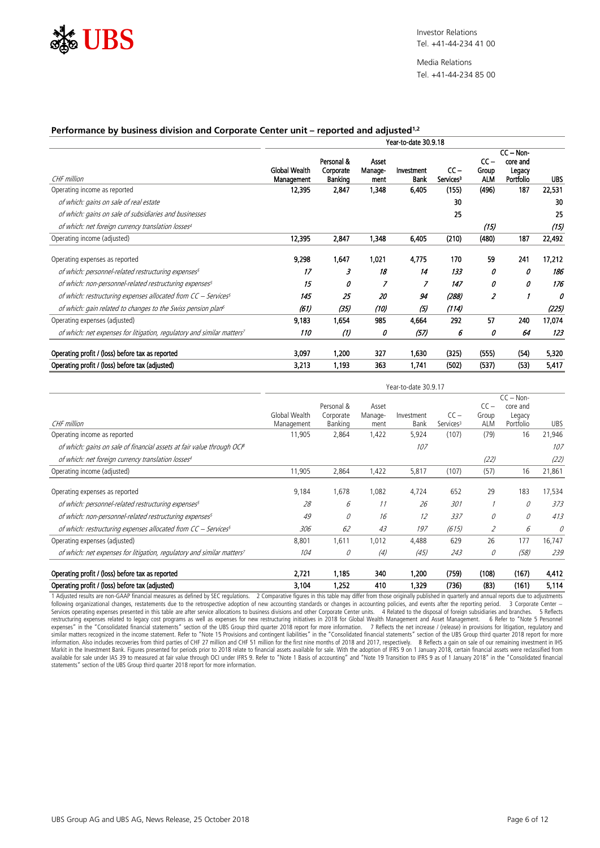

Media Relations Tel. +41-44-234 85 00

Year-to-date 30.9.17

#### **Performance by business division and Corporate Center unit – reported and adjusted1,2**

| Year-to-date 30.9.18        |                                    |                          |                    |                                 |                               |                                 |             |
|-----------------------------|------------------------------------|--------------------------|--------------------|---------------------------------|-------------------------------|---------------------------------|-------------|
| Global Wealth<br>Management | Personal &<br>Corporate<br>Banking | Asset<br>Manage-<br>ment | Investment<br>Bank | $CC -$<br>Services <sup>3</sup> | $cc -$<br>Group<br><b>ALM</b> | core and<br>Legacy<br>Portfolio | <b>UBS</b>  |
| 12.395                      | 2.847                              | 1.348                    | 6.405              | (155)                           | (496)                         | 187                             | 22,531      |
|                             |                                    |                          |                    | 30                              |                               |                                 | 30          |
|                             |                                    |                          |                    | 25                              |                               |                                 | 25          |
|                             |                                    |                          |                    |                                 | (15)                          |                                 | (15)        |
| 12,395                      | 2,847                              | 1.348                    | 6.405              | (210)                           | (480)                         | 187                             | 22,492      |
| 9,298                       | 1.647                              | 1.021                    | 4.775              | 170                             | 59                            | 241                             | 17.212      |
| 17                          | я                                  | 18                       | 14                 | 133                             |                               |                                 | 186         |
| 15                          |                                    |                          |                    | 147                             |                               | л                               | 176         |
| 145                         | 25                                 | 20                       | 94                 | (288)                           |                               |                                 |             |
| 161,                        | (35)                               | (10)                     | (5)                | (114)                           |                               |                                 | (225)       |
| 9,183                       | 1.654                              | 985                      | 4.664              | 292                             | 57                            | 240                             | 17,074      |
| 110                         | (1)                                | 0                        | (57)               | 6                               | 0                             | 64                              | 123         |
| 3,097                       | 1,200                              | 327                      | 1,630              | (325)                           | (555)                         | (54)                            | 5,320       |
| 3.213                       | 1.193                              | 363                      | 1.741              | (502)                           | (537)                         | (53)                            | 5,417       |
|                             |                                    |                          |                    |                                 |                               |                                 | $CC - Non-$ |

|                                                                                    |               | Personal & | Asset            |            |                       | $CC -$     | $CC - Non-$<br>core and |            |
|------------------------------------------------------------------------------------|---------------|------------|------------------|------------|-----------------------|------------|-------------------------|------------|
|                                                                                    | Global Wealth | Corporate  | Manage-          | Investment | $CC -$                | Group      | Legacy                  |            |
| CHF million                                                                        | Management    | Banking    | ment             | Bank       | Services <sup>3</sup> | <b>ALM</b> | Portfolio               | <b>UBS</b> |
| Operating income as reported                                                       | 11.905        | 2,864      | 1,422            | 5,924      | (107)                 | (79)       | 16                      | 21,946     |
| of which: gains on sale of financial assets at fair value through OCIB             |               |            |                  | 107        |                       |            |                         |            |
| of which: net foreign currency translation losses <sup>4</sup>                     |               |            |                  |            |                       | (22)       |                         | (22)       |
| Operating income (adjusted)                                                        | 11.905        | 2.864      | 1.422            | 5,817      | (107)                 | (57)       | 16                      | 21,861     |
| Operating expenses as reported                                                     | 9,184         | 1.678      | 1.082            | 4,724      | 652                   | 29         | 183                     | 17,534     |
| of which: personnel-related restructuring expenses <sup>5</sup>                    | 28            | ĥ          |                  | 26         | 301                   |            |                         | 373        |
| of which: non-personnel-related restructuring expenses <sup>5</sup>                | 49            |            | 16               | 12         | 337                   |            |                         | 413        |
| of which: restructuring expenses allocated from CC - Services <sup>5</sup>         | 306           | 62         | 43               | 197        | (615)                 |            | 6                       |            |
| Operating expenses (adjusted)                                                      | 8.801         | 1.611      | 1.012            | 4.488      | 629                   | 26         | 177                     | 16.747     |
| of which: net expenses for litigation, regulatory and similar matters <sup>7</sup> | 104           |            | $\left(4\right)$ | (45)       | 243                   | Ũ          | (58)                    | 239        |
| Operating profit / (loss) before tax as reported                                   | 2.721         | 1.185      | 340              | 1.200      | (759)                 | (108)      | (167)                   | 4,412      |
| Operating profit / (loss) before tax (adjusted)                                    | 3,104         | 1.252      | 410              | 1,329      | (736)                 | (83)       | (161)                   | 5,114      |

1 Adjusted results are non-GAAP financial measures as defined by SEC regulations. 2 Comparative figures in this table may differ from those originally published in quarterly and annual reports due to adjustments following organizational changes, restatements due to the retrospective adoption of new accounting standards or changes in accounting policies, and events after the reporting period. 3 Corporate Center —<br>Services operating available for sale under IAS 39 to measured at fair value through OCI under IFRS 9. Refer to "Note 1 Basis of accounting" and "Note 19 Transition to IFRS 9 as of 1 January 2018" in the "Consolidated financial statements" section of the UBS Group third quarter 2018 report for more information.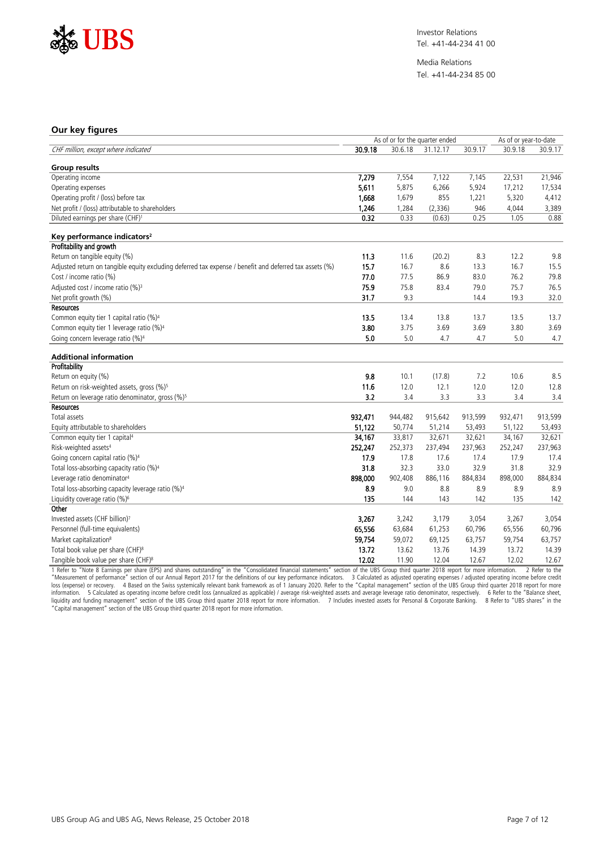

Media Relations Tel. +41-44-234 85 00

#### **Our key figures**

|                                                                                                         |         | As of or for the quarter ended |          | As of or year-to-date |         |         |
|---------------------------------------------------------------------------------------------------------|---------|--------------------------------|----------|-----------------------|---------|---------|
| CHF million, except where indicated                                                                     | 30.9.18 | 30.6.18                        | 31.12.17 | 30.9.17               | 30.9.18 | 30.9.17 |
| <b>Group results</b>                                                                                    |         |                                |          |                       |         |         |
| Operating income                                                                                        | 7,279   | 7,554                          | 7,122    | 7,145                 | 22,531  | 21,946  |
| Operating expenses                                                                                      | 5,611   | 5,875                          | 6,266    | 5,924                 | 17,212  | 17,534  |
| Operating profit / (loss) before tax                                                                    | 1.668   | 1,679                          | 855      | 1.221                 | 5,320   | 4,412   |
| Net profit / (loss) attributable to shareholders                                                        | 1,246   | 1,284                          | (2, 336) | 946                   | 4,044   | 3,389   |
| Diluted earnings per share (CHF) <sup>1</sup>                                                           | 0.32    | 0.33                           | (0.63)   | 0.25                  | 1.05    | 0.88    |
| Key performance indicators <sup>2</sup>                                                                 |         |                                |          |                       |         |         |
| Profitability and growth                                                                                |         |                                |          |                       |         |         |
| Return on tangible equity (%)                                                                           | 11.3    | 11.6                           | (20.2)   | 8.3                   | 12.2    | 9.8     |
| Adjusted return on tangible equity excluding deferred tax expense / benefit and deferred tax assets (%) | 15.7    | 16.7                           | 8.6      | 13.3                  | 16.7    | 15.5    |
| Cost / income ratio (%)                                                                                 | 77.0    | 77.5                           | 86.9     | 83.0                  | 76.2    | 79.8    |
| Adjusted cost / income ratio (%) <sup>3</sup>                                                           | 75.9    | 75.8                           | 83.4     | 79.0                  | 75.7    | 76.5    |
| Net profit growth (%)                                                                                   | 31.7    | 9.3                            |          | 14.4                  | 19.3    | 32.0    |
| <b>Resources</b>                                                                                        |         |                                |          |                       |         |         |
| Common equity tier 1 capital ratio (%) <sup>4</sup>                                                     | 13.5    | 13.4                           | 13.8     | 13.7                  | 13.5    | 13.7    |
| Common equity tier 1 leverage ratio (%) <sup>4</sup>                                                    | 3.80    | 3.75                           | 3.69     | 3.69                  | 3.80    | 3.69    |
| Going concern leverage ratio (%) <sup>4</sup>                                                           | 5.0     | 5.0                            | 4.7      | 4.7                   | 5.0     | 4.7     |
| <b>Additional information</b>                                                                           |         |                                |          |                       |         |         |
| Profitability                                                                                           |         |                                |          |                       |         |         |
| Return on equity (%)                                                                                    | 9.8     | 10.1                           | (17.8)   | 7.2                   | 10.6    | .8.5    |
| Return on risk-weighted assets, gross (%) <sup>5</sup>                                                  | 11.6    | 12.0                           | 12.1     | $\frac{1}{12.0}$      | 12.0    | 12.8    |
| Return on leverage ratio denominator, gross (%) <sup>5</sup>                                            | 3.2     | 3.4                            | 3.3      | 3.3                   | 3.4     | 3.4     |
| <b>Resources</b>                                                                                        |         |                                |          |                       |         |         |
| Total assets                                                                                            | 932.471 | 944,482                        | 915,642  | 913,599               | 932,471 | 913,599 |
| Equity attributable to shareholders                                                                     | 51,122  | 50,774                         | 51,214   | 53,493                | 51,122  | 53,493  |
| Common equity tier 1 capital <sup>4</sup>                                                               | 34.167  | 33,817                         | 32,671   | 32.621                | 34,167  | 32,621  |
| Risk-weighted assets <sup>4</sup>                                                                       | 252,247 | 252,373                        | 237,494  | 237,963               | 252,247 | 237,963 |
| Going concern capital ratio (%) <sup>4</sup>                                                            | 17.9    | 17.8                           | 17.6     | 17.4                  | 17.9    | 17.4    |
| Total loss-absorbing capacity ratio (%) <sup>4</sup>                                                    | 31.8    | 32.3                           | 33.0     | 32.9                  | 31.8    | 32.9    |
| Leverage ratio denominator <sup>4</sup>                                                                 | 898,000 | 902,408                        | 886,116  | 884,834               | 898,000 | 884,834 |
| Total loss-absorbing capacity leverage ratio (%) <sup>4</sup>                                           | 8.9     | 9.0                            | 8.8      | 8.9                   | 8.9     | 8.9     |
| Liquidity coverage ratio (%) <sup>6</sup>                                                               | 135     | 144                            | 143      | 142                   | 135     | 142     |
| Other                                                                                                   |         |                                |          |                       |         |         |
| Invested assets (CHF billion)7                                                                          | 3,267   | 3,242                          | 3,179    | 3,054                 | 3,267   | 3,054   |
| Personnel (full-time equivalents)                                                                       | 65,556  | 63,684                         | 61,253   | 60,796                | 65,556  | 60,796  |
| Market capitalization <sup>8</sup>                                                                      | 59,754  | 59,072                         | 69,125   | 63,757                | 59,754  | 63,757  |
| Total book value per share (CHF) <sup>8</sup>                                                           | 13.72   | 13.62                          | 13.76    | 14.39                 | 13.72   | 14.39   |
| Tangible book value per share (CHF) <sup>8</sup>                                                        | 12.02   | 11.90                          | 12.04    | 12.67                 | 12.02   | 12.67   |

1 Refer to "Note 8 Earnings per share (EPS) and shares outstanding" in the "Consolidated financial statements" section of the UBS Group third quarter 2018 report for more information. 2 Refer to the "Measurement of perform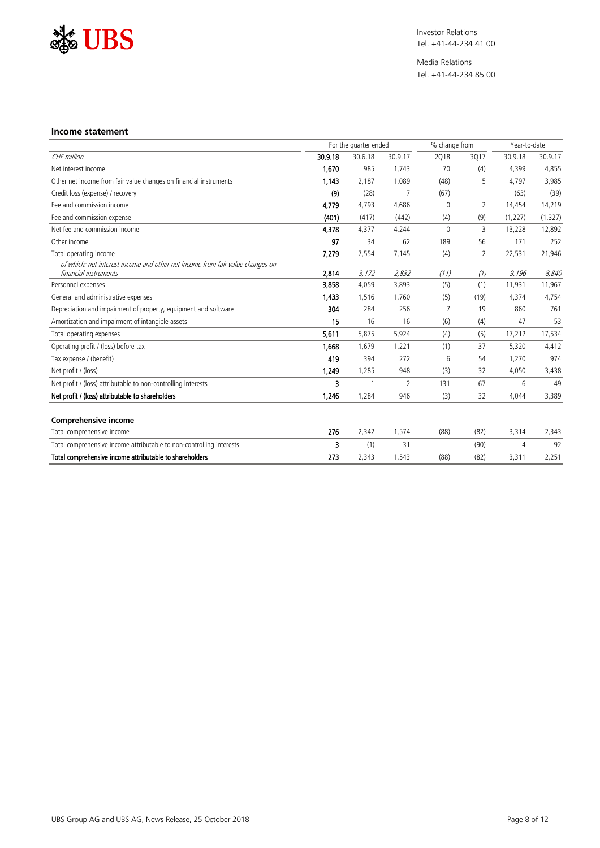

Media Relations Tel. +41-44-234 85 00

#### **Income statement**

|                                                                                                        |         | For the quarter ended |                | % change from |                | Year-to-date |          |
|--------------------------------------------------------------------------------------------------------|---------|-----------------------|----------------|---------------|----------------|--------------|----------|
| CHF million                                                                                            | 30.9.18 | 30.6.18               | 30.9.17        | 2018          | 3017           | 30.9.18      | 30.9.17  |
| Net interest income                                                                                    | 1.670   | 985                   | 1.743          | 70            | (4)            | 4.399        | 4,855    |
| Other net income from fair value changes on financial instruments                                      | 1,143   | 2,187                 | 1,089          | (48)          | 5              | 4,797        | 3,985    |
| Credit loss (expense) / recovery                                                                       | (9)     | (28)                  |                | (67)          |                | (63)         | (39)     |
| Fee and commission income                                                                              | 4.779   | 4.793                 | 4.686          | $\Omega$      | $\overline{2}$ | 14,454       | 14,219   |
| Fee and commission expense                                                                             | (401)   | (417)                 | (442)          | (4)           | (9)            | (1, 227)     | (1, 327) |
| Net fee and commission income                                                                          | 4,378   | 4,377                 | 4.244          | $\Omega$      | 3              | 13,228       | 12,892   |
| Other income                                                                                           | 97      | 34                    | 62             | 189           | 56             | 171          | 252      |
| Total operating income                                                                                 | 7,279   | 7,554                 | 7,145          | (4)           | $\overline{2}$ | 22,531       | 21,946   |
| of which: net interest income and other net income from fair value changes on<br>financial instruments | 2,814   | 3,172                 | 2,832          | (11)          | (1)            | 9,196        | 8.840    |
| Personnel expenses                                                                                     | 3,858   | 4.059                 | 3.893          | (5)           | (1)            | 11.931       | 11,967   |
| General and administrative expenses                                                                    | 1,433   | 1.516                 | 1.760          | (5)           | (19)           | 4,374        | 4,754    |
| Depreciation and impairment of property, equipment and software                                        | 304     | 284                   | 256            |               | 19             | 860          | 761      |
| Amortization and impairment of intangible assets                                                       | 15      | 16                    | 16             | (6)           | (4)            | 47           | 53       |
| Total operating expenses                                                                               | 5,611   | 5,875                 | 5,924          | (4)           | (5)            | 17,212       | 17,534   |
| Operating profit / (loss) before tax                                                                   | 1.668   | 1.679                 | 1.221          | (1)           | 37             | 5,320        | 4,412    |
| Tax expense / (benefit)                                                                                | 419     | 394                   | 272            | 6             | 54             | 1,270        | 974      |
| Net profit / (loss)                                                                                    | 1.249   | 1,285                 | 948            | (3)           | 32             | 4,050        | 3,438    |
| Net profit / (loss) attributable to non-controlling interests                                          | ર       |                       | $\overline{2}$ | 131           | 67             | 6            | 49       |
| Net profit / (loss) attributable to shareholders                                                       | 1,246   | 1,284                 | 946            | (3)           | 32             | 4,044        | 3,389    |
| <b>Comprehensive income</b>                                                                            |         |                       |                |               |                |              |          |
| Total comprehensive income                                                                             | 276     | 2,342                 | 1,574          | (88)          | (82)           | 3,314        | 2,343    |
| Total comprehensive income attributable to non-controlling interests                                   | ٩       | (1)                   | 31             |               | (90)           | 4            | 92       |
| Total comprehensive income attributable to shareholders                                                | 273     | 2,343                 | 1,543          | (88)          | (82)           | 3,311        | 2,251    |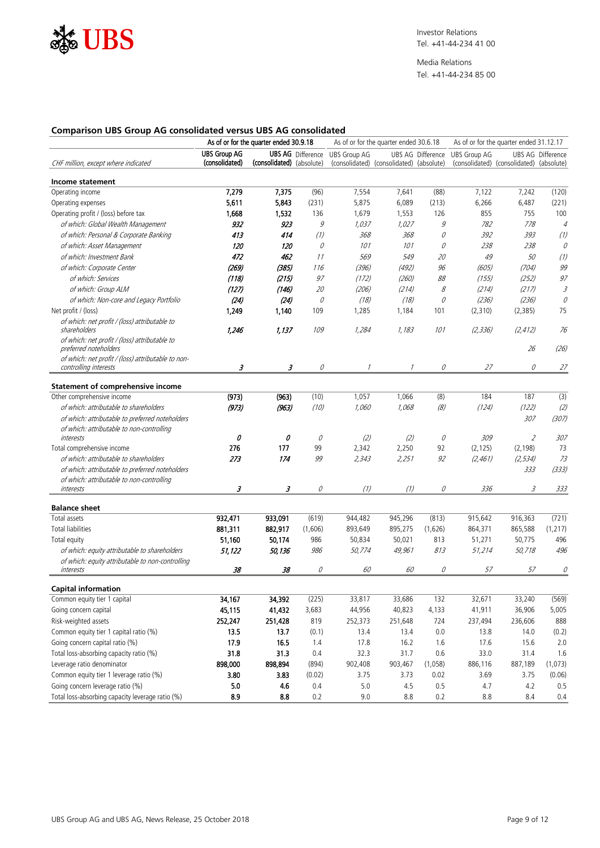

Media Relations Tel. +41-44-234 85 00

#### **Comparison UBS Group AG consolidated versus UBS AG consolidated**

|                                                                             | As of or for the quarter ended 30.9.18 |                           |                            |                     | As of or for the quarter ended 30.6.18   |                      | As of or for the quarter ended 31.12.17 |                                          |                           |
|-----------------------------------------------------------------------------|----------------------------------------|---------------------------|----------------------------|---------------------|------------------------------------------|----------------------|-----------------------------------------|------------------------------------------|---------------------------|
|                                                                             | <b>UBS Group AG</b>                    |                           | <b>UBS AG</b> Difference   | <b>UBS Group AG</b> |                                          | UBS AG Difference    | <b>UBS Group AG</b>                     |                                          | <b>UBS AG Difference</b>  |
| CHF million, except where indicated                                         | (consolidated)                         | (consolidated) (absolute) |                            |                     | (consolidated) (consolidated) (absolute) |                      |                                         | (consolidated) (consolidated) (absolute) |                           |
| Income statement                                                            |                                        |                           |                            |                     |                                          |                      |                                         |                                          |                           |
| Operating income                                                            | 7,279                                  | 7,375                     | (96)                       | 7,554               | 7,641                                    | (88)                 | 7,122                                   | 7,242                                    | (120)                     |
| Operating expenses                                                          | 5,611                                  | 5,843                     | (231)                      | 5,875               | 6,089                                    | (213)                | 6,266                                   | 6,487                                    | (221)                     |
| Operating profit / (loss) before tax                                        | 1,668                                  | 1,532                     | 136                        | 1,679               | 1,553                                    | 126                  | 855                                     | 755                                      | 100                       |
| of which: Global Wealth Management                                          | 932                                    | 923                       | 9                          | 1,037               | 1,027                                    | 9                    | 782                                     | 778                                      | $\sqrt{4}$                |
| of which: Personal & Corporate Banking                                      | 413                                    | 414                       | $\overline{(\mathcal{V})}$ | 368                 | 368                                      | $\mathcal O$         | 392                                     | 393                                      | $\frac{1}{2}$             |
| of which: Asset Management                                                  | 120                                    | 120                       | 0                          | 101                 | 101                                      | 0                    | 238                                     | 238                                      | 0                         |
| of which: Investment Bank                                                   | 472                                    | 462                       | <br>11                     | 569                 | 549                                      | 20                   | 49                                      | 50                                       | $\overline{(\mathbf{v})}$ |
| of which: Corporate Center                                                  | (269)                                  | (385)                     | 116                        | (396)               | (492)                                    | 96                   | (605)                                   | (704)                                    | 99                        |
| of which: Services                                                          | (118)                                  | (215)                     | 97                         | (172)               | (260)                                    | 88                   | (155)                                   | (252)                                    | 97                        |
| of which: Group ALM                                                         | (127)                                  | (146)                     | $20\,$                     | (206)               | (214)                                    | $\mathcal S$         | (214)                                   | (217)                                    | 3                         |
| of which: Non-core and Legacy Portfolio                                     | (24)                                   | (24)                      | 0                          | (18)                | (18)                                     | 0                    | (236)                                   | (236)                                    | 0                         |
| Net profit / (loss)                                                         | 1,249                                  | 1,140                     | 109                        | 1,285               | 1,184                                    | 101                  | (2,310)                                 | (2, 385)                                 | 75                        |
| of which: net profit / (loss) attributable to                               |                                        |                           |                            |                     |                                          |                      |                                         |                                          |                           |
| shareholders                                                                | 1,246                                  | 1,137                     | 109                        | 1,284               | 1,183                                    | 101                  | (2, 336)                                | (2, 412)                                 | 76                        |
| of which: net profit / (loss) attributable to                               |                                        |                           |                            |                     |                                          |                      |                                         |                                          |                           |
| preferred noteholders<br>of which: net profit / (loss) attributable to non- |                                        |                           |                            |                     |                                          |                      |                                         | 26                                       | (26)                      |
| controlling interests                                                       | 3                                      | 3                         | 0                          | $\mathcal I$        | $\mathcal I$                             | 0                    | 27                                      | 0                                        | 27                        |
|                                                                             |                                        |                           |                            |                     |                                          |                      |                                         |                                          |                           |
| <b>Statement of comprehensive income</b>                                    |                                        |                           |                            |                     |                                          |                      |                                         |                                          |                           |
| Other comprehensive income                                                  | (973)                                  | (963)                     | (10)                       | 1,057               | 1,066                                    | (8)                  | 184                                     | 187                                      | (3)                       |
| of which: attributable to shareholders                                      | (973)                                  | (963)                     | (10)                       | 1,060               | 1,068                                    | (8)                  | (124)                                   | (122)                                    | (2)                       |
| of which: attributable to preferred noteholders                             |                                        |                           |                            |                     |                                          |                      |                                         | 307                                      | (307)                     |
| of which: attributable to non-controlling                                   |                                        |                           |                            |                     |                                          |                      |                                         |                                          |                           |
| interests                                                                   | 0                                      | 0                         | $\mathcal Q$               | (2)                 | (2)                                      | $\mathcal{Q}$        | 309                                     | 2                                        | 307                       |
| Total comprehensive income                                                  | 276                                    | 177<br>174                | 99                         | 2,342               | 2,250                                    | 92<br>$\overline{g}$ | (2, 125)                                | (2, 198)                                 | 73                        |
| of which: attributable to shareholders                                      | 273                                    |                           | 99                         | 2,343               | 2,251                                    |                      | (2, 461)                                | (2, 534)                                 | 73                        |
| of which: attributable to preferred noteholders                             |                                        |                           |                            |                     |                                          |                      |                                         | 333                                      | (333)                     |
| of which: attributable to non-controlling<br>interests                      | 3                                      | 3                         | 0                          | (1)                 | (1)                                      | 0                    | 336                                     | 3                                        | 333                       |
|                                                                             |                                        |                           |                            |                     |                                          |                      |                                         |                                          |                           |
| <b>Balance sheet</b>                                                        |                                        |                           |                            |                     |                                          |                      |                                         |                                          |                           |
| Total assets                                                                | 932,471                                | 933,091                   | (619)                      | 944,482             | 945,296                                  | (813)                | 915,642                                 | 916,363                                  | (721)                     |
| Total liabilities                                                           | 881,311                                | 882,917                   | (1,606)                    | 893,649             | 895,275                                  | (1,626)              | 864,371                                 | 865,588                                  | (1,217)                   |
| Total equity                                                                | 51,160                                 | 50,174                    | 986                        | 50,834              | 50,021                                   | 813                  | 51,271                                  | 50,775                                   | 496                       |
| of which: equity attributable to shareholders                               | 51,122                                 | 50,136                    | 986                        | 50,774              | 49,961                                   | 813                  | 51,214                                  | 50,718                                   | 496                       |
| of which: equity attributable to non-controlling                            |                                        |                           |                            |                     |                                          |                      |                                         |                                          |                           |
| interests                                                                   | 38                                     | 38                        | 0                          | 60                  | 60                                       | 0                    | 57                                      | 57                                       | 0                         |
| <b>Capital information</b>                                                  |                                        |                           |                            |                     |                                          |                      |                                         |                                          |                           |
| Common equity tier 1 capital                                                | 34,167                                 | 34,392                    | (225)                      | 33,817              | 33,686                                   | 132                  | 32,671                                  | 33,240                                   | (569)                     |
| Going concern capital                                                       | 45,115                                 | 41,432                    | 3,683                      | 44,956              | 40,823                                   | 4,133                | 41,911                                  | 36,906                                   | 5,005                     |
| Risk-weighted assets                                                        | 252,247                                | 251,428                   | 819                        | 252,373             | 251,648                                  | 724                  | 237,494                                 | 236,606                                  | 888                       |
| Common equity tier 1 capital ratio (%)                                      | 13.5                                   | 13.7                      | (0.1)                      | 13.4                | 13.4                                     | 0.0                  | 13.8                                    | 14.0                                     | (0.2)                     |
| Going concern capital ratio (%)                                             | 17.9                                   | 16.5                      | 1.4                        | 17.8                | 16.2                                     | 1.6                  | 17.6                                    | 15.6                                     | 2.0                       |
| Total loss-absorbing capacity ratio (%)                                     | 31.8                                   | 31.3                      | 0.4                        | 32.3                | 31.7                                     | 0.6                  | 33.0                                    | 31.4                                     | 1.6                       |
| Leverage ratio denominator                                                  | 898,000                                | 898,894                   | (894)                      | 902,408             | 903,467                                  | (1,058)              | 886,116                                 | 887,189                                  | (1,073)                   |
| Common equity tier 1 leverage ratio (%)                                     | 3.80                                   | 3.83                      | (0.02)                     | 3.75                | 3.73                                     | 0.02                 | 3.69                                    | 3.75                                     | (0.06)                    |
| Going concern leverage ratio (%)                                            | 5.0                                    | 4.6                       | 0.4                        | 5.0                 | 4.5                                      | $0.5\,$              | 4.7                                     | 4.2                                      | 0.5                       |
| Total loss-absorbing capacity leverage ratio (%)                            | 8.9                                    | 8.8                       | 0.2                        | $9.0\,$             | 8.8                                      | 0.2                  | 8.8                                     | 8.4                                      | 0.4                       |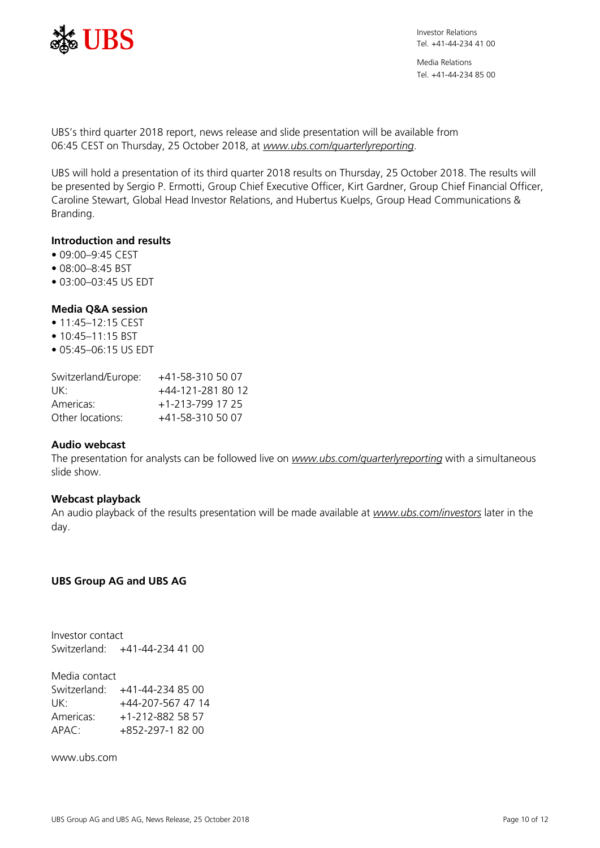

Media Relations Tel. +41-44-234 85 00

UBS's third quarter 2018 report, news release and slide presentation will be available from 06:45 CEST on Thursday, 25 October 2018, at *[www.ubs.com/quarterlyreporting](http://www.ubs.com/quarterlyreporting)*.

UBS will hold a presentation of its third quarter 2018 results on Thursday, 25 October 2018. The results will be presented by Sergio P. Ermotti, Group Chief Executive Officer, Kirt Gardner, Group Chief Financial Officer, Caroline Stewart, Global Head Investor Relations, and Hubertus Kuelps, Group Head Communications & Branding.

## **Introduction and results**

- 09:00–9:45 CEST
- 08:00–8:45 BST
- 03:00–03:45 US EDT

## **Media Q&A session**

- 11:45-12:15 CEST
- 10:45-11:15 BST
- 05:45–06:15 US EDT

| Switzerland/Europe: | +41-58-310 50 07  |
|---------------------|-------------------|
| UK:                 | +44-121-281 80 12 |
| Americas:           | +1-213-799 17 25  |
| Other locations:    | +41-58-310 50 07  |

#### **Audio webcast**

The presentation for analysts can be followed live on *[www.ubs.com/quarterlyreporting](http://www.ubs.com/quarterlyreporting)* with a simultaneous slide show.

#### **Webcast playback**

An audio playback of the results presentation will be made available at *[www.ubs.com/investors](http://www.ubs.com/investors)* later in the day.

## **UBS Group AG and UBS AG**

Investor contact Switzerland: +41-44-234 41 00

Media contact Switzerland: +41-44-234 85 00 UK: +44-207-567 47 14 Americas: +1-212-882 58 57 APAC: +852-297-1 82 00

www.ubs.com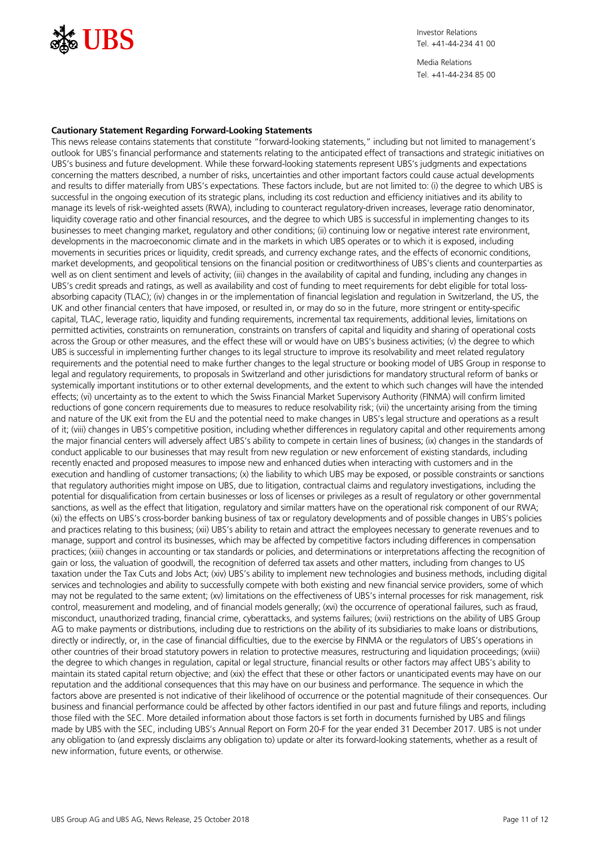

Media Relations Tel. +41-44-234 85 00

#### **Cautionary Statement Regarding Forward-Looking Statements**

This news release contains statements that constitute "forward-looking statements," including but not limited to management's outlook for UBS's financial performance and statements relating to the anticipated effect of transactions and strategic initiatives on UBS's business and future development. While these forward-looking statements represent UBS's judgments and expectations concerning the matters described, a number of risks, uncertainties and other important factors could cause actual developments and results to differ materially from UBS's expectations. These factors include, but are not limited to: (i) the degree to which UBS is successful in the ongoing execution of its strategic plans, including its cost reduction and efficiency initiatives and its ability to manage its levels of risk-weighted assets (RWA), including to counteract regulatory-driven increases, leverage ratio denominator, liquidity coverage ratio and other financial resources, and the degree to which UBS is successful in implementing changes to its businesses to meet changing market, regulatory and other conditions; (ii) continuing low or negative interest rate environment, developments in the macroeconomic climate and in the markets in which UBS operates or to which it is exposed, including movements in securities prices or liquidity, credit spreads, and currency exchange rates, and the effects of economic conditions, market developments, and geopolitical tensions on the financial position or creditworthiness of UBS's clients and counterparties as well as on client sentiment and levels of activity; (iii) changes in the availability of capital and funding, including any changes in UBS's credit spreads and ratings, as well as availability and cost of funding to meet requirements for debt eligible for total lossabsorbing capacity (TLAC); (iv) changes in or the implementation of financial legislation and regulation in Switzerland, the US, the UK and other financial centers that have imposed, or resulted in, or may do so in the future, more stringent or entity-specific capital, TLAC, leverage ratio, liquidity and funding requirements, incremental tax requirements, additional levies, limitations on permitted activities, constraints on remuneration, constraints on transfers of capital and liquidity and sharing of operational costs across the Group or other measures, and the effect these will or would have on UBS's business activities; (v) the degree to which UBS is successful in implementing further changes to its legal structure to improve its resolvability and meet related regulatory requirements and the potential need to make further changes to the legal structure or booking model of UBS Group in response to legal and regulatory requirements, to proposals in Switzerland and other jurisdictions for mandatory structural reform of banks or systemically important institutions or to other external developments, and the extent to which such changes will have the intended effects; (vi) uncertainty as to the extent to which the Swiss Financial Market Supervisory Authority (FINMA) will confirm limited reductions of gone concern requirements due to measures to reduce resolvability risk; (vii) the uncertainty arising from the timing and nature of the UK exit from the EU and the potential need to make changes in UBS's legal structure and operations as a result of it; (viii) changes in UBS's competitive position, including whether differences in regulatory capital and other requirements among the major financial centers will adversely affect UBS's ability to compete in certain lines of business; (ix) changes in the standards of conduct applicable to our businesses that may result from new regulation or new enforcement of existing standards, including recently enacted and proposed measures to impose new and enhanced duties when interacting with customers and in the execution and handling of customer transactions; (x) the liability to which UBS may be exposed, or possible constraints or sanctions that regulatory authorities might impose on UBS, due to litigation, contractual claims and regulatory investigations, including the potential for disqualification from certain businesses or loss of licenses or privileges as a result of regulatory or other governmental sanctions, as well as the effect that litigation, regulatory and similar matters have on the operational risk component of our RWA; (xi) the effects on UBS's cross-border banking business of tax or regulatory developments and of possible changes in UBS's policies and practices relating to this business; (xii) UBS's ability to retain and attract the employees necessary to generate revenues and to manage, support and control its businesses, which may be affected by competitive factors including differences in compensation practices; (xiii) changes in accounting or tax standards or policies, and determinations or interpretations affecting the recognition of gain or loss, the valuation of goodwill, the recognition of deferred tax assets and other matters, including from changes to US taxation under the Tax Cuts and Jobs Act; (xiv) UBS's ability to implement new technologies and business methods, including digital services and technologies and ability to successfully compete with both existing and new financial service providers, some of which may not be regulated to the same extent; (xv) limitations on the effectiveness of UBS's internal processes for risk management, risk control, measurement and modeling, and of financial models generally; (xvi) the occurrence of operational failures, such as fraud, misconduct, unauthorized trading, financial crime, cyberattacks, and systems failures; (xvii) restrictions on the ability of UBS Group AG to make payments or distributions, including due to restrictions on the ability of its subsidiaries to make loans or distributions, directly or indirectly, or, in the case of financial difficulties, due to the exercise by FINMA or the regulators of UBS's operations in other countries of their broad statutory powers in relation to protective measures, restructuring and liquidation proceedings; (xviii) the degree to which changes in regulation, capital or legal structure, financial results or other factors may affect UBS's ability to maintain its stated capital return objective; and (xix) the effect that these or other factors or unanticipated events may have on our reputation and the additional consequences that this may have on our business and performance. The sequence in which the factors above are presented is not indicative of their likelihood of occurrence or the potential magnitude of their consequences. Our business and financial performance could be affected by other factors identified in our past and future filings and reports, including those filed with the SEC. More detailed information about those factors is set forth in documents furnished by UBS and filings made by UBS with the SEC, including UBS's Annual Report on Form 20-F for the year ended 31 December 2017. UBS is not under any obligation to (and expressly disclaims any obligation to) update or alter its forward-looking statements, whether as a result of new information, future events, or otherwise.